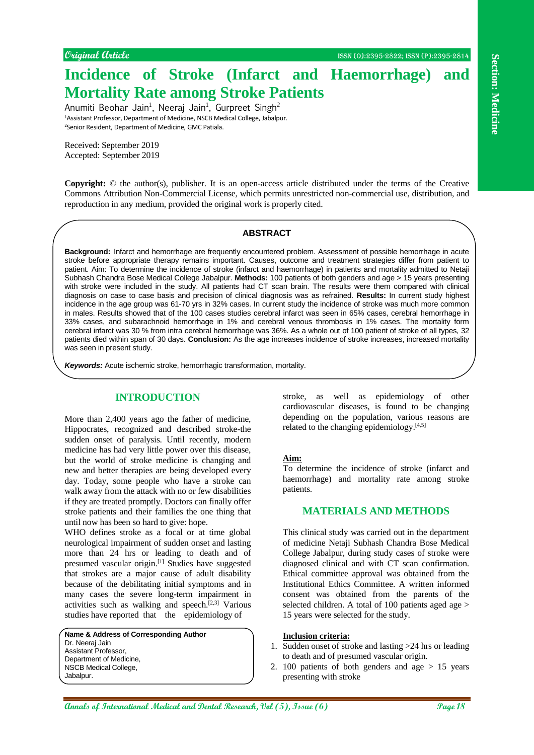# **Incidence of Stroke (Infarct and Haemorrhage) and Mortality Rate among Stroke Patients**

Anumiti Beohar Jain<sup>1</sup>, Neeraj Jain<sup>1</sup>, Gurpreet Singh<sup>2</sup> <sup>1</sup>Assistant Professor, Department of Medicine, NSCB Medical College, Jabalpur. <sup>2</sup>Senior Resident, Department of Medicine, GMC Patiala.

Received: September 2019 Accepted: September 2019

**Copyright:** © the author(s), publisher. It is an open-access article distributed under the terms of the Creative Commons Attribution Non-Commercial License, which permits unrestricted non-commercial use, distribution, and reproduction in any medium, provided the original work is properly cited.

#### **ABSTRACT**

**Annual Medicine is a page 188** Control of the section of the section of the section of the section of the section of the section of the section of the section of the section of the section of the section of the section of **Background:** Infarct and hemorrhage are frequently encountered problem. Assessment of possible hemorrhage in acute stroke before appropriate therapy remains important. Causes, outcome and treatment strategies differ from patient to patient. Aim: To determine the incidence of stroke (infarct and haemorrhage) in patients and mortality admitted to Netaji Subhash Chandra Bose Medical College Jabalpur. **Methods:** 100 patients of both genders and age > 15 years presenting with stroke were included in the study. All patients had CT scan brain. The results were them compared with clinical diagnosis on case to case basis and precision of clinical diagnosis was as refrained. **Results:** In current study highest incidence in the age group was 61-70 yrs in 32% cases. In current study the incidence of stroke was much more common in males. Results showed that of the 100 cases studies cerebral infarct was seen in 65% cases, cerebral hemorrhage in 33% cases, and subarachnoid hemorrhage in 1% and cerebral venous thrombosis in 1% cases. The mortality form cerebral infarct was 30 % from intra cerebral hemorrhage was 36%. As a whole out of 100 patient of stroke of all types, 32 patients died within span of 30 days. **Conclusion:** As the age increases incidence of stroke increases, increased mortality was seen in present study.

*Keywords:* Acute ischemic stroke, hemorrhagic transformation, mortality.

## **INTRODUCTION**

More than 2,400 years ago the father of medicine, Hippocrates, recognized and described stroke-the sudden onset of paralysis. Until recently, modern medicine has had very little power over this disease, but the world of stroke medicine is changing and new and better therapies are being developed every day. Today, some people who have a stroke can walk away from the attack with no or few disabilities if they are treated promptly. Doctors can finally offer stroke patients and their families the one thing that until now has been so hard to give: hope.

WHO defines stroke as a focal or at time global neurological impairment of sudden onset and lasting more than 24 hrs or leading to death and of presumed vascular origin.[1] Studies have suggested that strokes are a major cause of adult disability because of the debilitating initial symptoms and in many cases the severe long-term impairment in activities such as walking and speech.<sup>[2,3]</sup> Various studies have reported that the epidemiology of

**Name & Address of Corresponding Author** Dr. Neeraj Jain Assistant Professor, Department of Medicine, NSCB Medical College,

Jabalpur.

stroke, as well as epidemiology of other cardiovascular diseases, is found to be changing depending on the population, various reasons are related to the changing epidemiology.<sup>[4,5]</sup>

## **Aim:**

To determine the incidence of stroke (infarct and haemorrhage) and mortality rate among stroke patients.

## **MATERIALS AND METHODS**

This clinical study was carried out in the department of medicine Netaji Subhash Chandra Bose Medical College Jabalpur, during study cases of stroke were diagnosed clinical and with CT scan confirmation. Ethical committee approval was obtained from the Institutional Ethics Committee. A written informed consent was obtained from the parents of the selected children. A total of 100 patients aged age > 15 years were selected for the study.

#### **Inclusion criteria:**

- 1. Sudden onset of stroke and lasting >24 hrs or leading to death and of presumed vascular origin.
- 2. 100 patients of both genders and age  $> 15$  years presenting with stroke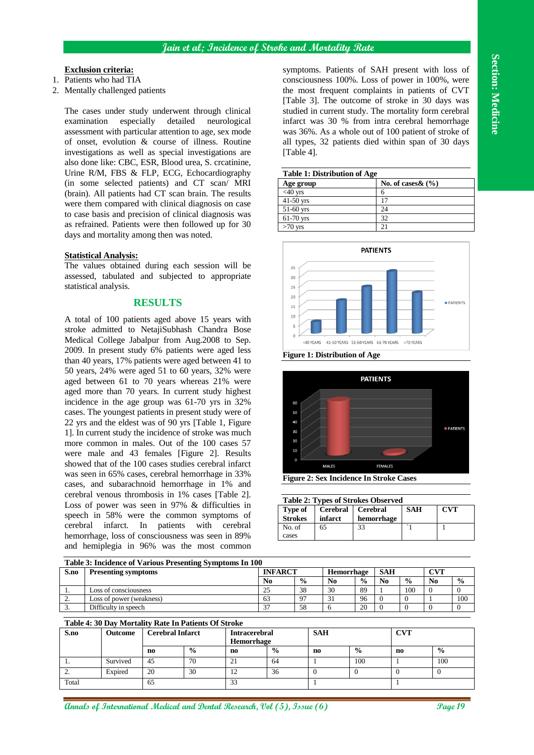## **Exclusion criteria:**

- 1. Patients who had TIA
- 2. Mentally challenged patients

The cases under study underwent through clinical examination especially detailed neurological assessment with particular attention to age, sex mode of onset, evolution & course of illness. Routine investigations as well as special investigations are also done like: CBC, ESR, Blood urea, S. crcatinine, Urine R/M, FBS & FLP, ECG, Echocardiography (in some selected patients) and CT scan/ MRI (brain). All patients had CT scan brain. The results were them compared with clinical diagnosis on case to case basis and precision of clinical diagnosis was as refrained. Patients were then followed up for 30 days and mortality among then was noted.

#### **Statistical Analysis:**

The values obtained during each session will be assessed, tabulated and subjected to appropriate statistical analysis.

## **RESULTS**

A total of 100 patients aged above 15 years with stroke admitted to NetajiSubhash Chandra Bose Medical College Jabalpur from Aug.2008 to Sep. 2009. In present study 6% patients were aged less than 40 years, 17% patients were aged between 41 to 50 years, 24% were aged 51 to 60 years, 32% were aged between 61 to 70 years whereas 21% were aged more than 70 years. In current study highest incidence in the age group was 61-70 yrs in 32% cases. The youngest patients in present study were of 22 yrs and the eldest was of 90 yrs [Table 1, Figure 1]. In current study the incidence of stroke was much more common in males. Out of the 100 cases 57 were male and 43 females [Figure 2]. Results showed that of the 100 cases studies cerebral infarct was seen in 65% cases, cerebral hemorrhage in 33% cases, and subarachnoid hemorrhage in 1% and cerebral venous thrombosis in 1% cases [Table 2]. Loss of power was seen in 97% & difficulties in speech in 58% were the common symptoms of cerebral infarct. In patients with cerebral hemorrhage, loss of consciousness was seen in 89% and hemiplegia in 96% was the most common

symptoms. Patients of SAH present with loss of consciousness 100%. Loss of power in 100%, were the most frequent complaints in patients of CVT [Table 3]. The outcome of stroke in 30 days was studied in current study. The mortality form cerebral infarct was 30 % from intra cerebral hemorrhage was 36%. As a whole out of 100 patient of stroke of all types, 32 patients died within span of 30 days [Table 4].

| <b>Table 1: Distribution of Age</b> |                       |  |  |  |  |
|-------------------------------------|-----------------------|--|--|--|--|
| Age group                           | No. of cases $\&$ (%) |  |  |  |  |
| $<$ 40 yrs                          |                       |  |  |  |  |
| $41-50$ yrs                         |                       |  |  |  |  |
| $51-60$ yrs                         | 24                    |  |  |  |  |
| $61-70$ yrs                         | 32                    |  |  |  |  |
| $>70$ yrs                           | $\mathcal{D}$         |  |  |  |  |







**Figure 2: Sex Incidence In Stroke Cases**

|  | <b>Table 2: Types of Strokes Observed</b>                                                                                                                                                                                            |  |  |  |
|--|--------------------------------------------------------------------------------------------------------------------------------------------------------------------------------------------------------------------------------------|--|--|--|
|  | <u> 1989 - Andrea Station Andrea Station Andrea Station Andrea Station Andrea Station Andrea Station Andrea Station Andrea Station Andrea Station Andrea Station Andrea Station Andrea Station Andrea Station Andrea Station And</u> |  |  |  |

| <b>Type of</b><br><b>Strokes</b> | Cerebral   Cerebral<br>infarct | hemorrhage | SAH | <b>CVT</b> |
|----------------------------------|--------------------------------|------------|-----|------------|
| No. of<br>cases                  | 65                             | 33         |     |            |

| Table 3: Incidence of Various Presenting Symptoms In 100 |                            |                |               |            |               |                |               |                |               |
|----------------------------------------------------------|----------------------------|----------------|---------------|------------|---------------|----------------|---------------|----------------|---------------|
| S.no                                                     | <b>Presenting symptoms</b> | <b>INFARCT</b> |               | Hemorrhage |               | SAH            |               | CVT            |               |
|                                                          |                            | No             | $\frac{0}{0}$ | $\bf No$   | $\frac{0}{0}$ | N <sub>0</sub> | $\frac{0}{0}$ | N <sub>0</sub> | $\frac{0}{0}$ |
|                                                          | Loss of consciousness      |                | 38            | 30         | 89            |                | 100           |                |               |
|                                                          | Loss of power (weakness)   | 63             | $\Omega$      | $\sim$ 1   | 96            |                |               |                | 100           |
|                                                          | Difficulty in speech       | $\sim$         | 58            |            | 20            |                |               |                |               |

## **Table 4: 30 Day Mortality Rate In Patients Of Stroke**

| S.no      | Outcome  | Cerebral Infarct |               | <b>SAH</b><br><b>Intracerebral</b><br><b>Hemorrhage</b> |               |                |               | CVI |               |
|-----------|----------|------------------|---------------|---------------------------------------------------------|---------------|----------------|---------------|-----|---------------|
|           |          | n <sub>0</sub>   | $\frac{0}{0}$ | n <sub>0</sub>                                          | $\frac{0}{0}$ | n <sub>0</sub> | $\frac{0}{0}$ | no  | $\frac{0}{0}$ |
| . .       | Survived | 45               | 70            | 21                                                      | 64            |                | 100           |     | 100           |
| <u>L.</u> | Expired  | 20               | 30            | $\overline{1}$                                          | 36            |                |               |     | v             |
| Total     |          | 65               |               | 33                                                      |               |                |               |     |               |

**Annals of International Medical and Dental Research, Vol (5), Issue (6)** Sage 19